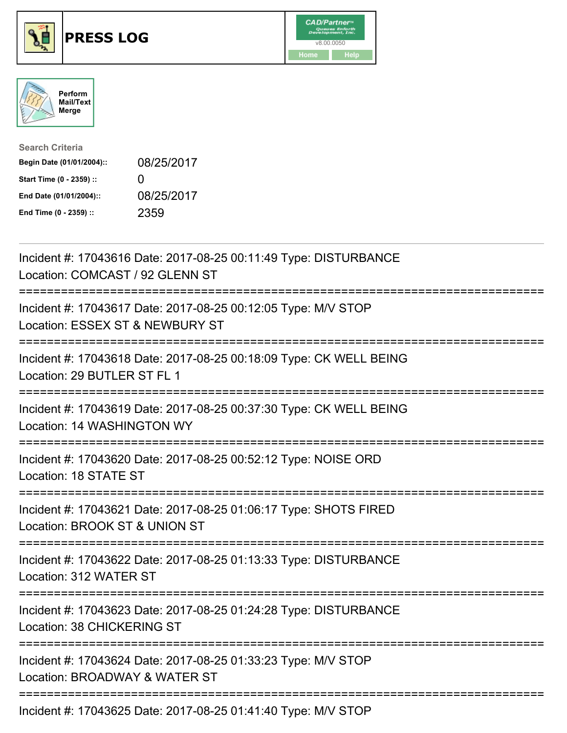





| <b>Search Criteria</b>    |              |
|---------------------------|--------------|
| Begin Date (01/01/2004):: | 08/25/2017   |
| Start Time (0 - 2359) ::  | $\mathbf{I}$ |
| End Date (01/01/2004)::   | 08/25/2017   |
| End Time (0 - 2359) ::    | 2359         |

| Incident #: 17043616 Date: 2017-08-25 00:11:49 Type: DISTURBANCE<br>Location: COMCAST / 92 GLENN ST                                    |
|----------------------------------------------------------------------------------------------------------------------------------------|
| Incident #: 17043617 Date: 2017-08-25 00:12:05 Type: M/V STOP<br>Location: ESSEX ST & NEWBURY ST                                       |
| Incident #: 17043618 Date: 2017-08-25 00:18:09 Type: CK WELL BEING<br>Location: 29 BUTLER ST FL 1                                      |
| Incident #: 17043619 Date: 2017-08-25 00:37:30 Type: CK WELL BEING<br>Location: 14 WASHINGTON WY                                       |
| Incident #: 17043620 Date: 2017-08-25 00:52:12 Type: NOISE ORD<br>Location: 18 STATE ST                                                |
| Incident #: 17043621 Date: 2017-08-25 01:06:17 Type: SHOTS FIRED<br>Location: BROOK ST & UNION ST                                      |
| Incident #: 17043622 Date: 2017-08-25 01:13:33 Type: DISTURBANCE<br>Location: 312 WATER ST                                             |
| Incident #: 17043623 Date: 2017-08-25 01:24:28 Type: DISTURBANCE<br>Location: 38 CHICKERING ST                                         |
| ====================================<br>Incident #: 17043624 Date: 2017-08-25 01:33:23 Type: M/V STOP<br>Location: BROADWAY & WATER ST |
| ;=========================<br>Incident #: 17043625 Date: 2017-08-25 01:41:40 Type: M/V STOP                                            |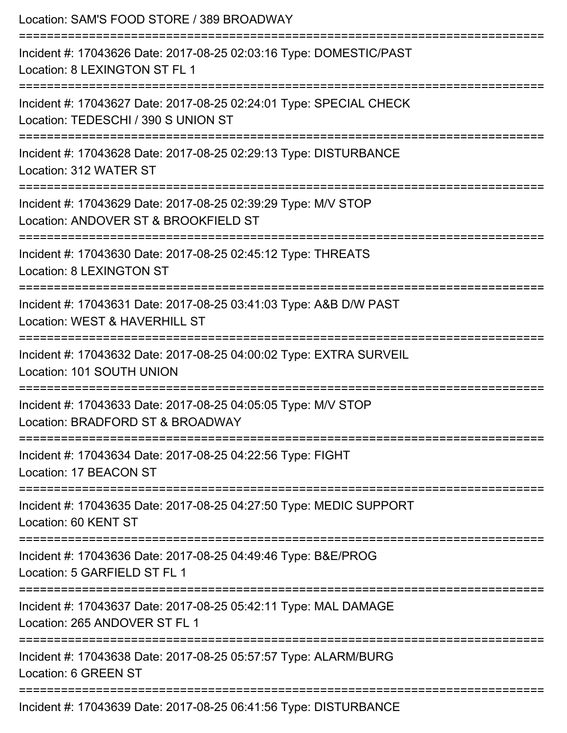| Location: SAM'S FOOD STORE / 389 BROADWAY<br>=============================                                |
|-----------------------------------------------------------------------------------------------------------|
| Incident #: 17043626 Date: 2017-08-25 02:03:16 Type: DOMESTIC/PAST<br>Location: 8 LEXINGTON ST FL 1       |
| Incident #: 17043627 Date: 2017-08-25 02:24:01 Type: SPECIAL CHECK<br>Location: TEDESCHI / 390 S UNION ST |
| Incident #: 17043628 Date: 2017-08-25 02:29:13 Type: DISTURBANCE<br>Location: 312 WATER ST                |
| Incident #: 17043629 Date: 2017-08-25 02:39:29 Type: M/V STOP<br>Location: ANDOVER ST & BROOKFIELD ST     |
| Incident #: 17043630 Date: 2017-08-25 02:45:12 Type: THREATS<br>Location: 8 LEXINGTON ST                  |
| Incident #: 17043631 Date: 2017-08-25 03:41:03 Type: A&B D/W PAST<br>Location: WEST & HAVERHILL ST        |
| Incident #: 17043632 Date: 2017-08-25 04:00:02 Type: EXTRA SURVEIL<br>Location: 101 SOUTH UNION           |
| Incident #: 17043633 Date: 2017-08-25 04:05:05 Type: M/V STOP<br>Location: BRADFORD ST & BROADWAY         |
| Incident #: 17043634 Date: 2017-08-25 04:22:56 Type: FIGHT<br>Location: 17 BEACON ST                      |
| Incident #: 17043635 Date: 2017-08-25 04:27:50 Type: MEDIC SUPPORT<br>Location: 60 KENT ST                |
| Incident #: 17043636 Date: 2017-08-25 04:49:46 Type: B&E/PROG<br>Location: 5 GARFIELD ST FL 1             |
| Incident #: 17043637 Date: 2017-08-25 05:42:11 Type: MAL DAMAGE<br>Location: 265 ANDOVER ST FL 1          |
| Incident #: 17043638 Date: 2017-08-25 05:57:57 Type: ALARM/BURG<br>Location: 6 GREEN ST                   |
| Incident #: 17043639 Date: 2017-08-25 06:41:56 Type: DISTURBANCE                                          |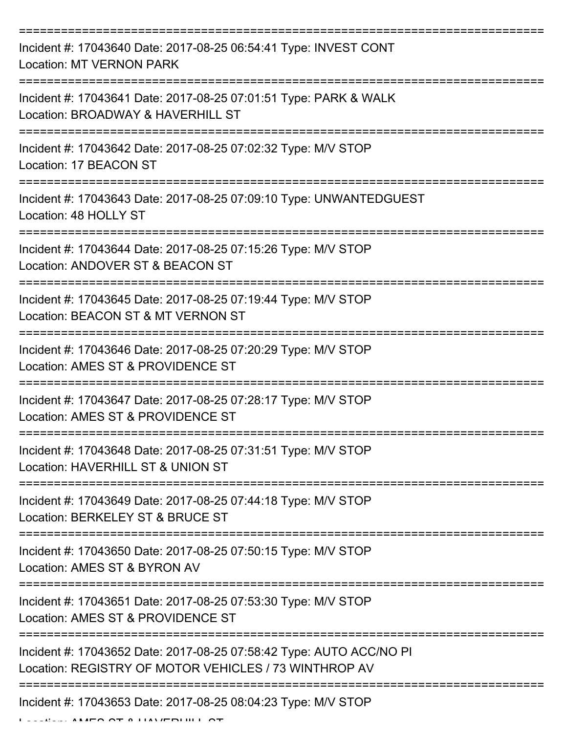| Incident #: 17043640 Date: 2017-08-25 06:54:41 Type: INVEST CONT<br><b>Location: MT VERNON PARK</b>                          |
|------------------------------------------------------------------------------------------------------------------------------|
| Incident #: 17043641 Date: 2017-08-25 07:01:51 Type: PARK & WALK<br>Location: BROADWAY & HAVERHILL ST                        |
| Incident #: 17043642 Date: 2017-08-25 07:02:32 Type: M/V STOP<br>Location: 17 BEACON ST                                      |
| Incident #: 17043643 Date: 2017-08-25 07:09:10 Type: UNWANTEDGUEST<br>Location: 48 HOLLY ST                                  |
| Incident #: 17043644 Date: 2017-08-25 07:15:26 Type: M/V STOP<br>Location: ANDOVER ST & BEACON ST                            |
| Incident #: 17043645 Date: 2017-08-25 07:19:44 Type: M/V STOP<br>Location: BEACON ST & MT VERNON ST                          |
| Incident #: 17043646 Date: 2017-08-25 07:20:29 Type: M/V STOP<br>Location: AMES ST & PROVIDENCE ST                           |
| Incident #: 17043647 Date: 2017-08-25 07:28:17 Type: M/V STOP<br>Location: AMES ST & PROVIDENCE ST                           |
| Incident #: 17043648 Date: 2017-08-25 07:31:51 Type: M/V STOP<br>Location: HAVERHILL ST & UNION ST                           |
| Incident #: 17043649 Date: 2017-08-25 07:44:18 Type: M/V STOP<br>Location: BERKELEY ST & BRUCE ST                            |
| Incident #: 17043650 Date: 2017-08-25 07:50:15 Type: M/V STOP<br>Location: AMES ST & BYRON AV                                |
| Incident #: 17043651 Date: 2017-08-25 07:53:30 Type: M/V STOP<br>Location: AMES ST & PROVIDENCE ST                           |
| Incident #: 17043652 Date: 2017-08-25 07:58:42 Type: AUTO ACC/NO PI<br>Location: REGISTRY OF MOTOR VEHICLES / 73 WINTHROP AV |
| Incident #: 17043653 Date: 2017-08-25 08:04:23 Type: M/V STOP                                                                |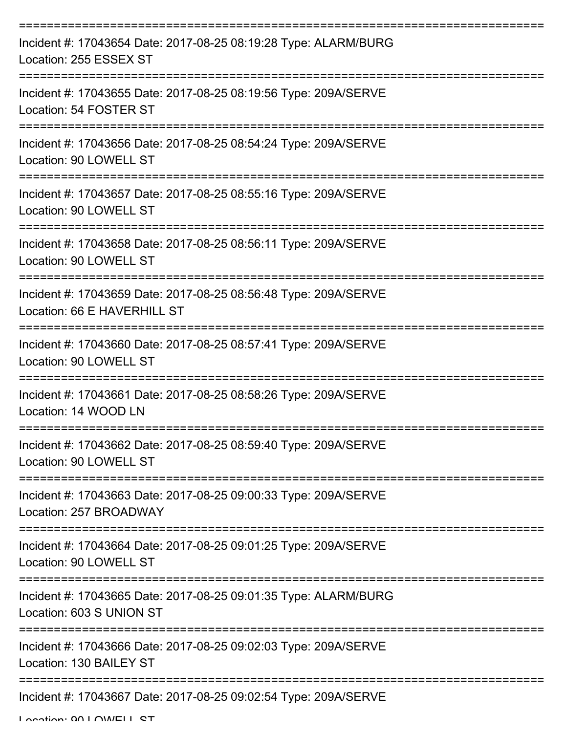| Incident #: 17043654 Date: 2017-08-25 08:19:28 Type: ALARM/BURG<br>Location: 255 ESSEX ST      |
|------------------------------------------------------------------------------------------------|
| Incident #: 17043655 Date: 2017-08-25 08:19:56 Type: 209A/SERVE<br>Location: 54 FOSTER ST      |
| Incident #: 17043656 Date: 2017-08-25 08:54:24 Type: 209A/SERVE<br>Location: 90 LOWELL ST      |
| Incident #: 17043657 Date: 2017-08-25 08:55:16 Type: 209A/SERVE<br>Location: 90 LOWELL ST      |
| Incident #: 17043658 Date: 2017-08-25 08:56:11 Type: 209A/SERVE<br>Location: 90 LOWELL ST      |
| Incident #: 17043659 Date: 2017-08-25 08:56:48 Type: 209A/SERVE<br>Location: 66 E HAVERHILL ST |
| Incident #: 17043660 Date: 2017-08-25 08:57:41 Type: 209A/SERVE<br>Location: 90 LOWELL ST      |
| Incident #: 17043661 Date: 2017-08-25 08:58:26 Type: 209A/SERVE<br>Location: 14 WOOD LN        |
| Incident #: 17043662 Date: 2017-08-25 08:59:40 Type: 209A/SERVE<br>Location: 90 LOWELL ST      |
| Incident #: 17043663 Date: 2017-08-25 09:00:33 Type: 209A/SERVE<br>Location: 257 BROADWAY      |
| Incident #: 17043664 Date: 2017-08-25 09:01:25 Type: 209A/SERVE<br>Location: 90 LOWELL ST      |
| Incident #: 17043665 Date: 2017-08-25 09:01:35 Type: ALARM/BURG<br>Location: 603 S UNION ST    |
| Incident #: 17043666 Date: 2017-08-25 09:02:03 Type: 209A/SERVE<br>Location: 130 BAILEY ST     |
| Incident #: 17043667 Date: 2017-08-25 09:02:54 Type: 209A/SERVE                                |

Location: 00 LOWELL ST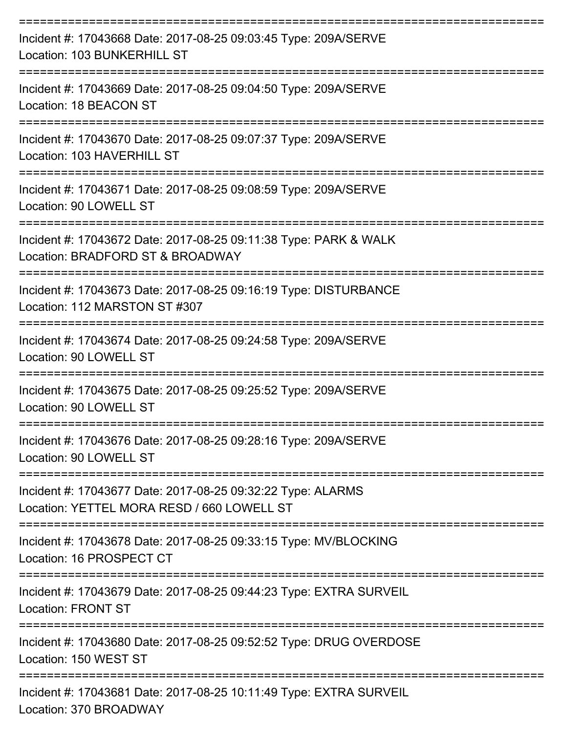| Incident #: 17043668 Date: 2017-08-25 09:03:45 Type: 209A/SERVE<br>Location: 103 BUNKERHILL ST                                      |
|-------------------------------------------------------------------------------------------------------------------------------------|
| Incident #: 17043669 Date: 2017-08-25 09:04:50 Type: 209A/SERVE<br>Location: 18 BEACON ST<br>===========================            |
| Incident #: 17043670 Date: 2017-08-25 09:07:37 Type: 209A/SERVE<br>Location: 103 HAVERHILL ST                                       |
| Incident #: 17043671 Date: 2017-08-25 09:08:59 Type: 209A/SERVE<br>Location: 90 LOWELL ST                                           |
| Incident #: 17043672 Date: 2017-08-25 09:11:38 Type: PARK & WALK<br>Location: BRADFORD ST & BROADWAY                                |
| Incident #: 17043673 Date: 2017-08-25 09:16:19 Type: DISTURBANCE<br>Location: 112 MARSTON ST #307                                   |
| --------------------------------------<br>Incident #: 17043674 Date: 2017-08-25 09:24:58 Type: 209A/SERVE<br>Location: 90 LOWELL ST |
| Incident #: 17043675 Date: 2017-08-25 09:25:52 Type: 209A/SERVE<br>Location: 90 LOWELL ST                                           |
| Incident #: 17043676 Date: 2017-08-25 09:28:16 Type: 209A/SERVE<br>Location: 90 LOWELL ST                                           |
| Incident #: 17043677 Date: 2017-08-25 09:32:22 Type: ALARMS<br>Location: YETTEL MORA RESD / 660 LOWELL ST                           |
| Incident #: 17043678 Date: 2017-08-25 09:33:15 Type: MV/BLOCKING<br>Location: 16 PROSPECT CT                                        |
| Incident #: 17043679 Date: 2017-08-25 09:44:23 Type: EXTRA SURVEIL<br><b>Location: FRONT ST</b>                                     |
| Incident #: 17043680 Date: 2017-08-25 09:52:52 Type: DRUG OVERDOSE<br>Location: 150 WEST ST                                         |
| Incident #: 17043681 Date: 2017-08-25 10:11:49 Type: EXTRA SURVEIL<br>Location: 370 BROADWAY                                        |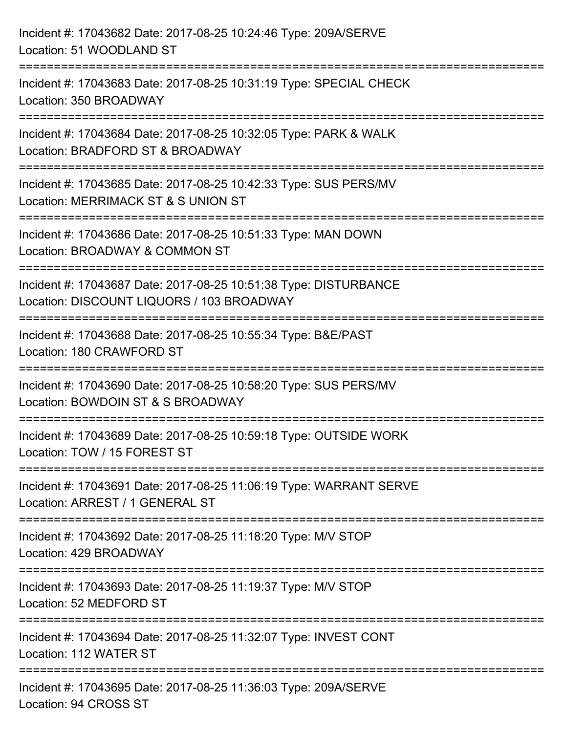| Incident #: 17043682 Date: 2017-08-25 10:24:46 Type: 209A/SERVE<br>Location: 51 WOODLAND ST                               |
|---------------------------------------------------------------------------------------------------------------------------|
| Incident #: 17043683 Date: 2017-08-25 10:31:19 Type: SPECIAL CHECK<br>Location: 350 BROADWAY                              |
| =================<br>Incident #: 17043684 Date: 2017-08-25 10:32:05 Type: PARK & WALK<br>Location: BRADFORD ST & BROADWAY |
| Incident #: 17043685 Date: 2017-08-25 10:42:33 Type: SUS PERS/MV<br>Location: MERRIMACK ST & S UNION ST                   |
| Incident #: 17043686 Date: 2017-08-25 10:51:33 Type: MAN DOWN<br>Location: BROADWAY & COMMON ST                           |
| Incident #: 17043687 Date: 2017-08-25 10:51:38 Type: DISTURBANCE<br>Location: DISCOUNT LIQUORS / 103 BROADWAY             |
| :===============<br>Incident #: 17043688 Date: 2017-08-25 10:55:34 Type: B&E/PAST<br>Location: 180 CRAWFORD ST            |
| Incident #: 17043690 Date: 2017-08-25 10:58:20 Type: SUS PERS/MV<br>Location: BOWDOIN ST & S BROADWAY                     |
| Incident #: 17043689 Date: 2017-08-25 10:59:18 Type: OUTSIDE WORK<br>Location: TOW / 15 FOREST ST                         |
| Incident #: 17043691 Date: 2017-08-25 11:06:19 Type: WARRANT SERVE<br>Location: ARREST / 1 GENERAL ST                     |
| Incident #: 17043692 Date: 2017-08-25 11:18:20 Type: M/V STOP<br>Location: 429 BROADWAY                                   |
| Incident #: 17043693 Date: 2017-08-25 11:19:37 Type: M/V STOP<br>Location: 52 MEDFORD ST                                  |
| Incident #: 17043694 Date: 2017-08-25 11:32:07 Type: INVEST CONT<br>Location: 112 WATER ST                                |
| Incident #: 17043695 Date: 2017-08-25 11:36:03 Type: 209A/SERVE<br>Location: 94 CROSS ST                                  |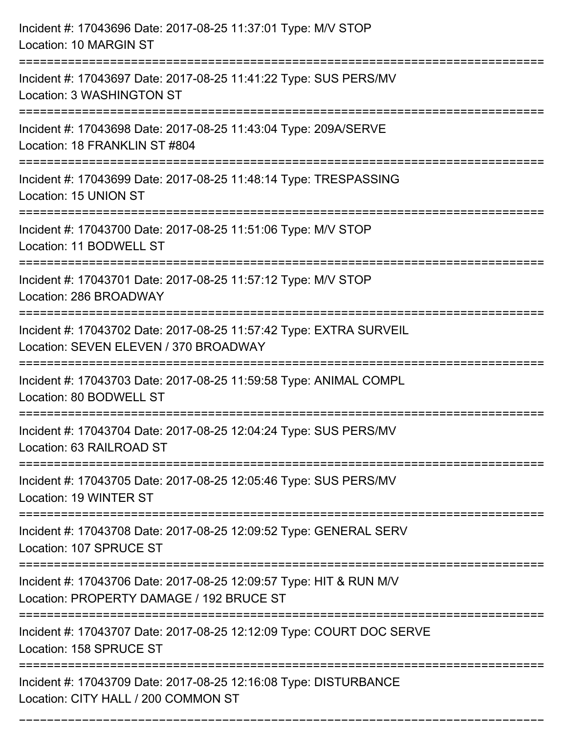| Incident #: 17043696 Date: 2017-08-25 11:37:01 Type: M/V STOP<br>Location: 10 MARGIN ST                                                 |
|-----------------------------------------------------------------------------------------------------------------------------------------|
| =================================<br>Incident #: 17043697 Date: 2017-08-25 11:41:22 Type: SUS PERS/MV<br>Location: 3 WASHINGTON ST      |
| Incident #: 17043698 Date: 2017-08-25 11:43:04 Type: 209A/SERVE<br>Location: 18 FRANKLIN ST #804<br>:================================== |
| Incident #: 17043699 Date: 2017-08-25 11:48:14 Type: TRESPASSING<br>Location: 15 UNION ST                                               |
| Incident #: 17043700 Date: 2017-08-25 11:51:06 Type: M/V STOP<br>Location: 11 BODWELL ST                                                |
| Incident #: 17043701 Date: 2017-08-25 11:57:12 Type: M/V STOP<br>Location: 286 BROADWAY                                                 |
| Incident #: 17043702 Date: 2017-08-25 11:57:42 Type: EXTRA SURVEIL<br>Location: SEVEN ELEVEN / 370 BROADWAY                             |
| Incident #: 17043703 Date: 2017-08-25 11:59:58 Type: ANIMAL COMPL<br>Location: 80 BODWELL ST                                            |
| Incident #: 17043704 Date: 2017-08-25 12:04:24 Type: SUS PERS/MV<br>Location: 63 RAILROAD ST                                            |
| Incident #: 17043705 Date: 2017-08-25 12:05:46 Type: SUS PERS/MV<br>Location: 19 WINTER ST                                              |
| Incident #: 17043708 Date: 2017-08-25 12:09:52 Type: GENERAL SERV<br>Location: 107 SPRUCE ST                                            |
| Incident #: 17043706 Date: 2017-08-25 12:09:57 Type: HIT & RUN M/V<br>Location: PROPERTY DAMAGE / 192 BRUCE ST                          |
| Incident #: 17043707 Date: 2017-08-25 12:12:09 Type: COURT DOC SERVE<br>Location: 158 SPRUCE ST                                         |
| Incident #: 17043709 Date: 2017-08-25 12:16:08 Type: DISTURBANCE<br>Location: CITY HALL / 200 COMMON ST                                 |

===========================================================================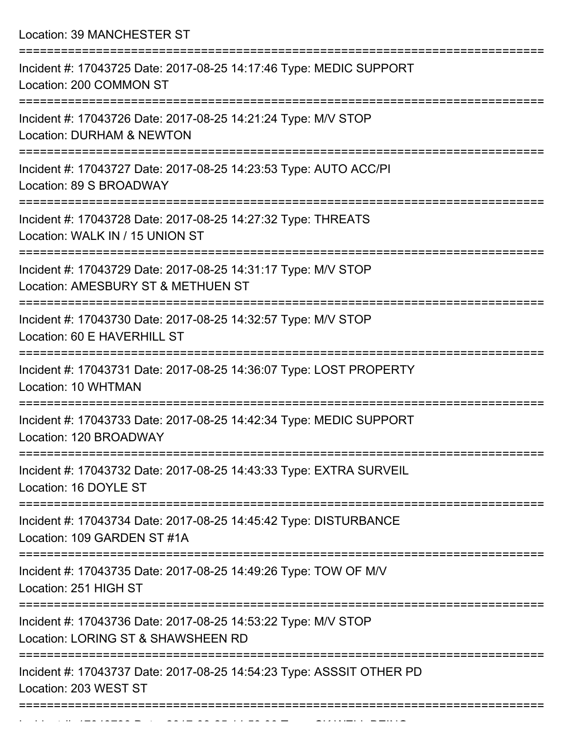Location: 39 MANCHESTER ST =========================================================================== Incident #: 17043725 Date: 2017-08-25 14:17:46 Type: MEDIC SUPPORT Location: 200 COMMON ST =========================================================================== Incident #: 17043726 Date: 2017-08-25 14:21:24 Type: M/V STOP Location: DURHAM & NEWTON =========================================================================== Incident #: 17043727 Date: 2017-08-25 14:23:53 Type: AUTO ACC/PI Location: 89 S BROADWAY =========================================================================== Incident #: 17043728 Date: 2017-08-25 14:27:32 Type: THREATS Location: WALK IN / 15 UNION ST =========================================================================== Incident #: 17043729 Date: 2017-08-25 14:31:17 Type: M/V STOP Location: AMESBURY ST & METHUEN ST =========================================================================== Incident #: 17043730 Date: 2017-08-25 14:32:57 Type: M/V STOP Location: 60 E HAVERHILL ST =========================================================================== Incident #: 17043731 Date: 2017-08-25 14:36:07 Type: LOST PROPERTY Location: 10 WHTMAN =========================================================================== Incident #: 17043733 Date: 2017-08-25 14:42:34 Type: MEDIC SUPPORT Location: 120 BROADWAY =========================================================================== Incident #: 17043732 Date: 2017-08-25 14:43:33 Type: EXTRA SURVEIL Location: 16 DOYLE ST =========================================================================== Incident #: 17043734 Date: 2017-08-25 14:45:42 Type: DISTURBANCE Location: 109 GARDEN ST #1A =========================================================================== Incident #: 17043735 Date: 2017-08-25 14:49:26 Type: TOW OF M/V Location: 251 HIGH ST =========================================================================== Incident #: 17043736 Date: 2017-08-25 14:53:22 Type: M/V STOP Location: LORING ST & SHAWSHEEN RD =========================================================================== Incident #: 17043737 Date: 2017-08-25 14:54:23 Type: ASSSIT OTHER PD Location: 203 WEST ST ===========================================================================

Incident #: 17043738 Date: 2017 08 25 14:58:00 Type: 2017 08 25 14:58:00 Type: CK WELL BEING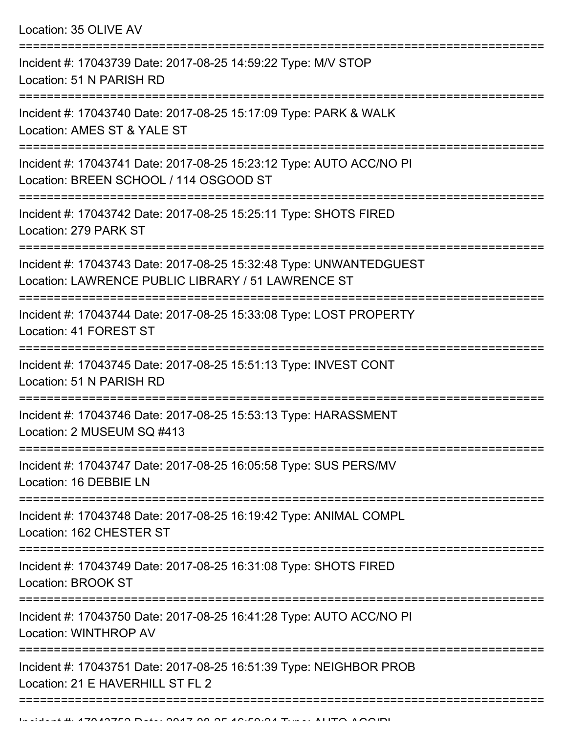Location: 35 OLIVE AV

| Incident #: 17043739 Date: 2017-08-25 14:59:22 Type: M/V STOP<br>Location: 51 N PARISH RD                                |
|--------------------------------------------------------------------------------------------------------------------------|
| Incident #: 17043740 Date: 2017-08-25 15:17:09 Type: PARK & WALK<br>Location: AMES ST & YALE ST                          |
| Incident #: 17043741 Date: 2017-08-25 15:23:12 Type: AUTO ACC/NO PI<br>Location: BREEN SCHOOL / 114 OSGOOD ST            |
| Incident #: 17043742 Date: 2017-08-25 15:25:11 Type: SHOTS FIRED<br>Location: 279 PARK ST                                |
| Incident #: 17043743 Date: 2017-08-25 15:32:48 Type: UNWANTEDGUEST<br>Location: LAWRENCE PUBLIC LIBRARY / 51 LAWRENCE ST |
| Incident #: 17043744 Date: 2017-08-25 15:33:08 Type: LOST PROPERTY<br>Location: 41 FOREST ST                             |
| Incident #: 17043745 Date: 2017-08-25 15:51:13 Type: INVEST CONT<br>Location: 51 N PARISH RD                             |
| Incident #: 17043746 Date: 2017-08-25 15:53:13 Type: HARASSMENT<br>Location: 2 MUSEUM SQ #413                            |
| Incident #: 17043747 Date: 2017-08-25 16:05:58 Type: SUS PERS/MV<br>Location: 16 DEBBIE LN                               |
| Incident #: 17043748 Date: 2017-08-25 16:19:42 Type: ANIMAL COMPL<br>Location: 162 CHESTER ST                            |
| Incident #: 17043749 Date: 2017-08-25 16:31:08 Type: SHOTS FIRED<br>Location: BROOK ST                                   |
| Incident #: 17043750 Date: 2017-08-25 16:41:28 Type: AUTO ACC/NO PI<br>Location: WINTHROP AV                             |
| Incident #: 17043751 Date: 2017-08-25 16:51:39 Type: NEIGHBOR PROB<br>Location: 21 E HAVERHILL ST FL 2                   |
|                                                                                                                          |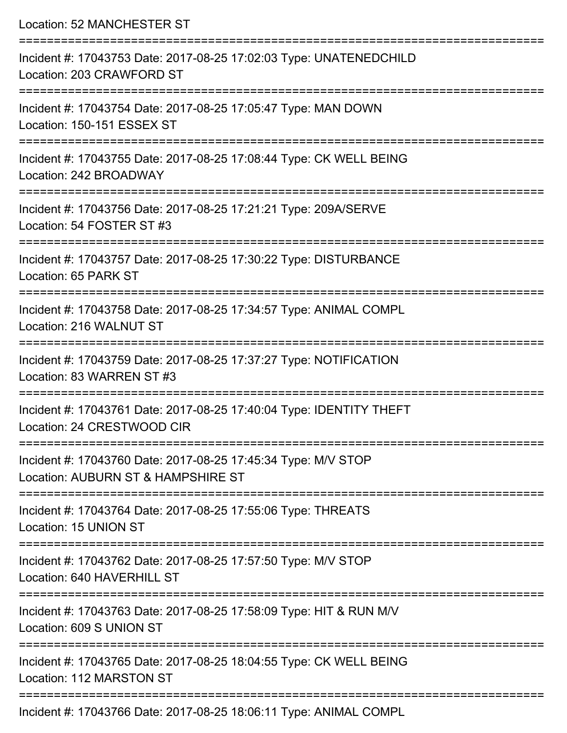| Location: 52 MANCHESTER ST                                                                          |
|-----------------------------------------------------------------------------------------------------|
| Incident #: 17043753 Date: 2017-08-25 17:02:03 Type: UNATENEDCHILD<br>Location: 203 CRAWFORD ST     |
| Incident #: 17043754 Date: 2017-08-25 17:05:47 Type: MAN DOWN<br>Location: 150-151 ESSEX ST         |
| Incident #: 17043755 Date: 2017-08-25 17:08:44 Type: CK WELL BEING<br>Location: 242 BROADWAY        |
| Incident #: 17043756 Date: 2017-08-25 17:21:21 Type: 209A/SERVE<br>Location: 54 FOSTER ST #3        |
| Incident #: 17043757 Date: 2017-08-25 17:30:22 Type: DISTURBANCE<br>Location: 65 PARK ST            |
| Incident #: 17043758 Date: 2017-08-25 17:34:57 Type: ANIMAL COMPL<br>Location: 216 WALNUT ST        |
| Incident #: 17043759 Date: 2017-08-25 17:37:27 Type: NOTIFICATION<br>Location: 83 WARREN ST #3      |
| Incident #: 17043761 Date: 2017-08-25 17:40:04 Type: IDENTITY THEFT<br>Location: 24 CRESTWOOD CIR   |
| Incident #: 17043760 Date: 2017-08-25 17:45:34 Type: M/V STOP<br>Location: AUBURN ST & HAMPSHIRE ST |
| Incident #: 17043764 Date: 2017-08-25 17:55:06 Type: THREATS<br>Location: 15 UNION ST               |
| Incident #: 17043762 Date: 2017-08-25 17:57:50 Type: M/V STOP<br>Location: 640 HAVERHILL ST         |
| Incident #: 17043763 Date: 2017-08-25 17:58:09 Type: HIT & RUN M/V<br>Location: 609 S UNION ST      |
| Incident #: 17043765 Date: 2017-08-25 18:04:55 Type: CK WELL BEING<br>Location: 112 MARSTON ST      |
| Incident #: 17043766 Date: 2017-08-25 18:06:11 Type: ANIMAL COMPL                                   |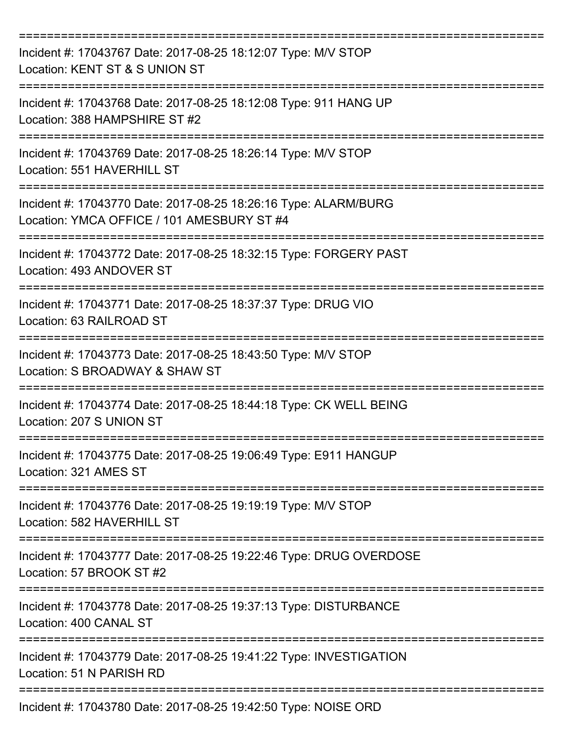| Incident #: 17043767 Date: 2017-08-25 18:12:07 Type: M/V STOP<br>Location: KENT ST & S UNION ST               |
|---------------------------------------------------------------------------------------------------------------|
| Incident #: 17043768 Date: 2017-08-25 18:12:08 Type: 911 HANG UP<br>Location: 388 HAMPSHIRE ST #2             |
| Incident #: 17043769 Date: 2017-08-25 18:26:14 Type: M/V STOP<br>Location: 551 HAVERHILL ST                   |
| Incident #: 17043770 Date: 2017-08-25 18:26:16 Type: ALARM/BURG<br>Location: YMCA OFFICE / 101 AMESBURY ST #4 |
| Incident #: 17043772 Date: 2017-08-25 18:32:15 Type: FORGERY PAST<br>Location: 493 ANDOVER ST                 |
| Incident #: 17043771 Date: 2017-08-25 18:37:37 Type: DRUG VIO<br>Location: 63 RAILROAD ST                     |
| Incident #: 17043773 Date: 2017-08-25 18:43:50 Type: M/V STOP<br>Location: S BROADWAY & SHAW ST               |
| Incident #: 17043774 Date: 2017-08-25 18:44:18 Type: CK WELL BEING<br>Location: 207 S UNION ST                |
| Incident #: 17043775 Date: 2017-08-25 19:06:49 Type: E911 HANGUP<br>Location: 321 AMES ST                     |
| Incident #: 17043776 Date: 2017-08-25 19:19:19 Type: M/V STOP<br>Location: 582 HAVERHILL ST                   |
| Incident #: 17043777 Date: 2017-08-25 19:22:46 Type: DRUG OVERDOSE<br>Location: 57 BROOK ST #2                |
| Incident #: 17043778 Date: 2017-08-25 19:37:13 Type: DISTURBANCE<br>Location: 400 CANAL ST                    |
| Incident #: 17043779 Date: 2017-08-25 19:41:22 Type: INVESTIGATION<br>Location: 51 N PARISH RD                |
| Incident #: 17043780 Date: 2017-08-25 19:42:50 Type: NOISE ORD                                                |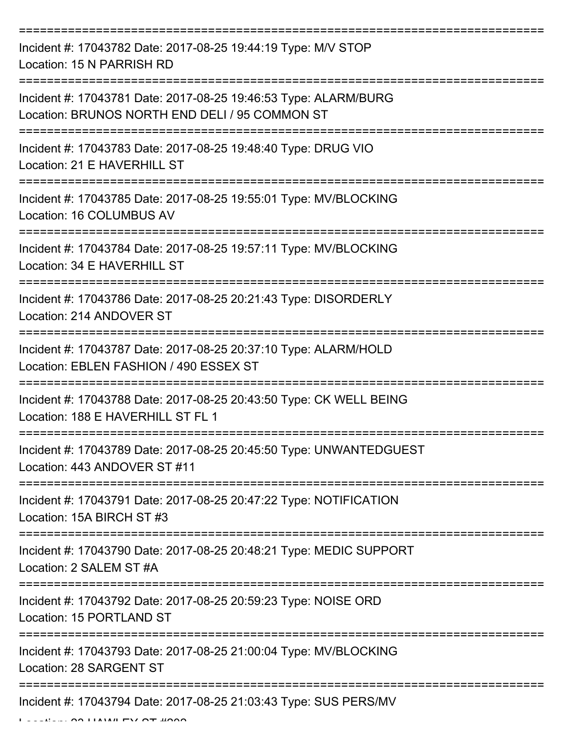| Incident #: 17043782 Date: 2017-08-25 19:44:19 Type: M/V STOP<br>Location: 15 N PARRISH RD                        |
|-------------------------------------------------------------------------------------------------------------------|
| Incident #: 17043781 Date: 2017-08-25 19:46:53 Type: ALARM/BURG<br>Location: BRUNOS NORTH END DELI / 95 COMMON ST |
| Incident #: 17043783 Date: 2017-08-25 19:48:40 Type: DRUG VIO<br>Location: 21 E HAVERHILL ST                      |
| Incident #: 17043785 Date: 2017-08-25 19:55:01 Type: MV/BLOCKING<br>Location: 16 COLUMBUS AV                      |
| Incident #: 17043784 Date: 2017-08-25 19:57:11 Type: MV/BLOCKING<br>Location: 34 E HAVERHILL ST                   |
| Incident #: 17043786 Date: 2017-08-25 20:21:43 Type: DISORDERLY<br>Location: 214 ANDOVER ST                       |
| Incident #: 17043787 Date: 2017-08-25 20:37:10 Type: ALARM/HOLD<br>Location: EBLEN FASHION / 490 ESSEX ST         |
| Incident #: 17043788 Date: 2017-08-25 20:43:50 Type: CK WELL BEING<br>Location: 188 E HAVERHILL ST FL 1           |
| Incident #: 17043789 Date: 2017-08-25 20:45:50 Type: UNWANTEDGUEST<br>Location: 443 ANDOVER ST #11                |
| Incident #: 17043791 Date: 2017-08-25 20:47:22 Type: NOTIFICATION<br>Location: 15A BIRCH ST #3                    |
| Incident #: 17043790 Date: 2017-08-25 20:48:21 Type: MEDIC SUPPORT<br>Location: 2 SALEM ST #A                     |
| Incident #: 17043792 Date: 2017-08-25 20:59:23 Type: NOISE ORD<br>Location: 15 PORTLAND ST                        |
| Incident #: 17043793 Date: 2017-08-25 21:00:04 Type: MV/BLOCKING<br>Location: 28 SARGENT ST                       |
| Incident #: 17043794 Date: 2017-08-25 21:03:43 Type: SUS PERS/MV                                                  |

 $L = L$   $\sim$  23 HAWLEY OT #2020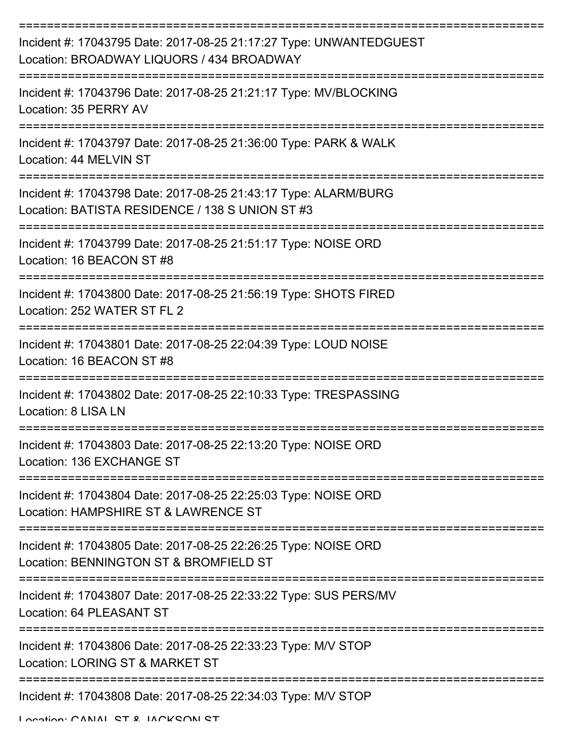| Incident #: 17043795 Date: 2017-08-25 21:17:27 Type: UNWANTEDGUEST<br>Location: BROADWAY LIQUORS / 434 BROADWAY    |
|--------------------------------------------------------------------------------------------------------------------|
| Incident #: 17043796 Date: 2017-08-25 21:21:17 Type: MV/BLOCKING<br>Location: 35 PERRY AV                          |
| Incident #: 17043797 Date: 2017-08-25 21:36:00 Type: PARK & WALK<br>Location: 44 MELVIN ST                         |
| Incident #: 17043798 Date: 2017-08-25 21:43:17 Type: ALARM/BURG<br>Location: BATISTA RESIDENCE / 138 S UNION ST #3 |
| Incident #: 17043799 Date: 2017-08-25 21:51:17 Type: NOISE ORD<br>Location: 16 BEACON ST #8                        |
| Incident #: 17043800 Date: 2017-08-25 21:56:19 Type: SHOTS FIRED<br>Location: 252 WATER ST FL 2                    |
| Incident #: 17043801 Date: 2017-08-25 22:04:39 Type: LOUD NOISE<br>Location: 16 BEACON ST #8                       |
| Incident #: 17043802 Date: 2017-08-25 22:10:33 Type: TRESPASSING<br>Location: 8 LISA LN                            |
| Incident #: 17043803 Date: 2017-08-25 22:13:20 Type: NOISE ORD<br>Location: 136 EXCHANGE ST                        |
| Incident #: 17043804 Date: 2017-08-25 22:25:03 Type: NOISE ORD<br>Location: HAMPSHIRE ST & LAWRENCE ST             |
| Incident #: 17043805 Date: 2017-08-25 22:26:25 Type: NOISE ORD<br>Location: BENNINGTON ST & BROMFIELD ST           |
| Incident #: 17043807 Date: 2017-08-25 22:33:22 Type: SUS PERS/MV<br>Location: 64 PLEASANT ST                       |
| Incident #: 17043806 Date: 2017-08-25 22:33:23 Type: M/V STOP<br>Location: LORING ST & MARKET ST                   |
| Incident #: 17043808 Date: 2017-08-25 22:34:03 Type: M/V STOP                                                      |

Location: CANAL ST & JACKSON ST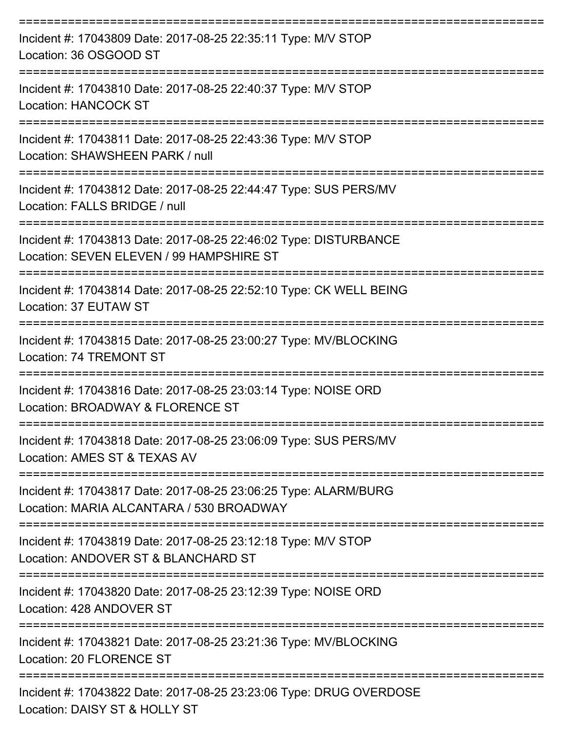| Incident #: 17043809 Date: 2017-08-25 22:35:11 Type: M/V STOP<br>Location: 36 OSGOOD ST                                      |
|------------------------------------------------------------------------------------------------------------------------------|
| Incident #: 17043810 Date: 2017-08-25 22:40:37 Type: M/V STOP<br><b>Location: HANCOCK ST</b>                                 |
| Incident #: 17043811 Date: 2017-08-25 22:43:36 Type: M/V STOP<br>Location: SHAWSHEEN PARK / null                             |
| Incident #: 17043812 Date: 2017-08-25 22:44:47 Type: SUS PERS/MV<br>Location: FALLS BRIDGE / null<br>--------------          |
| Incident #: 17043813 Date: 2017-08-25 22:46:02 Type: DISTURBANCE<br>Location: SEVEN ELEVEN / 99 HAMPSHIRE ST                 |
| Incident #: 17043814 Date: 2017-08-25 22:52:10 Type: CK WELL BEING<br>Location: 37 EUTAW ST                                  |
| ======================<br>Incident #: 17043815 Date: 2017-08-25 23:00:27 Type: MV/BLOCKING<br><b>Location: 74 TREMONT ST</b> |
| Incident #: 17043816 Date: 2017-08-25 23:03:14 Type: NOISE ORD<br>Location: BROADWAY & FLORENCE ST                           |
| Incident #: 17043818 Date: 2017-08-25 23:06:09 Type: SUS PERS/MV<br>Location: AMES ST & TEXAS AV                             |
| Incident #: 17043817 Date: 2017-08-25 23:06:25 Type: ALARM/BURG<br>Location: MARIA ALCANTARA / 530 BROADWAY                  |
| Incident #: 17043819 Date: 2017-08-25 23:12:18 Type: M/V STOP<br>Location: ANDOVER ST & BLANCHARD ST                         |
| Incident #: 17043820 Date: 2017-08-25 23:12:39 Type: NOISE ORD<br>Location: 428 ANDOVER ST                                   |
| Incident #: 17043821 Date: 2017-08-25 23:21:36 Type: MV/BLOCKING<br>Location: 20 FLORENCE ST                                 |
| Incident #: 17043822 Date: 2017-08-25 23:23:06 Type: DRUG OVERDOSE<br>Location: DAISY ST & HOLLY ST                          |